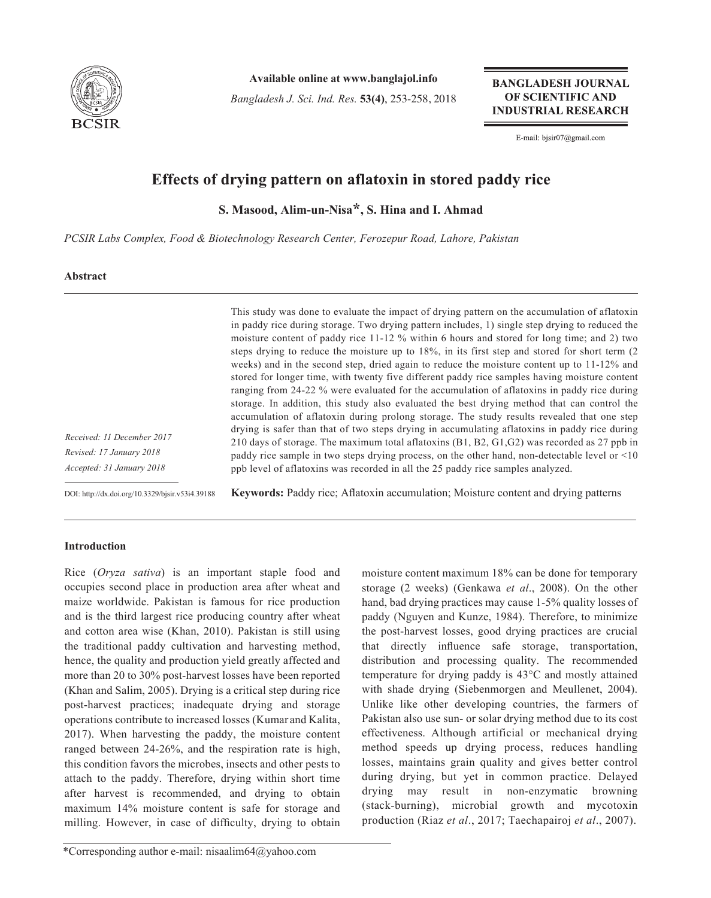

**Available online at www.banglajol.info**

*Bangladesh J. Sci. Ind. Res.* **53(4)**, 253-258, 2018

**BANGLADESH JOURNAL** OF SCIENTIFIC AND **INDUSTRIAL RESEARCH** 

E-mail: bjsir07@gmail.com

# **Effects of drying pattern on aflatoxin in stored paddy rice**

**S. Masood, Alim-un-Nisa\*, S. Hina and I. Ahmad**

*PCSIR Labs Complex, Food & Biotechnology Research Center, Ferozepur Road, Lahore, Pakistan*

# **Abstract**

This study was done to evaluate the impact of drying pattern on the accumulation of aflatoxin in paddy rice during storage. Two drying pattern includes, 1) single step drying to reduced the moisture content of paddy rice 11-12 % within 6 hours and stored for long time; and 2) two steps drying to reduce the moisture up to 18%, in its first step and stored for short term (2 weeks) and in the second step, dried again to reduce the moisture content up to 11-12% and stored for longer time, with twenty five different paddy rice samples having moisture content ranging from 24-22 % were evaluated for the accumulation of aflatoxins in paddy rice during storage. In addition, this study also evaluated the best drying method that can control the accumulation of aflatoxin during prolong storage. The study results revealed that one step drying is safer than that of two steps drying in accumulating aflatoxins in paddy rice during 210 days of storage. The maximum total aflatoxins (B1, B2, G1,G2) was recorded as 27 ppb in paddy rice sample in two steps drying process, on the other hand, non-detectable level or <10 ppb level of aflatoxins was recorded in all the 25 paddy rice samples analyzed.

DOI: http://dx.doi.org/10.3329/bjsir.v53i4.39188

**Keywords:** Paddy rice; Aflatoxin accumulation; Moisture content and drying patterns

# **Introduction**

*Received: 11 December 2017 Revised: 17 January 2018 Accepted: 31 January 2018*

Rice (*Oryza sativa*) is an important staple food and occupies second place in production area after wheat and maize worldwide. Pakistan is famous for rice production and is the third largest rice producing country after wheat and cotton area wise (Khan, 2010). Pakistan is still using the traditional paddy cultivation and harvesting method, hence, the quality and production yield greatly affected and more than 20 to 30% post-harvest losses have been reported (Khan and Salim, 2005). Drying is a critical step during rice post-harvest practices; inadequate drying and storage operations contribute to increased losses (Kumar and Kalita, 2017). When harvesting the paddy, the moisture content ranged between 24-26%, and the respiration rate is high, this condition favors the microbes, insects and other pests to attach to the paddy. Therefore, drying within short time after harvest is recommended, and drying to obtain maximum 14% moisture content is safe for storage and milling. However, in case of difficulty, drying to obtain

that directly influence safe storage, transportation, distribution and processing quality. The recommended temperature for drying paddy is 43°C and mostly attained with shade drying (Siebenmorgen and Meullenet, 2004). Unlike like other developing countries, the farmers of Pakistan also use sun- or solar drying method due to its cost effectiveness. Although artificial or mechanical drying method speeds up drying process, reduces handling losses, maintains grain quality and gives better control during drying, but yet in common practice. Delayed drying may result in non-enzymatic browning (stack-burning), microbial growth and mycotoxin production (Riaz *et al*., 2017; Taechapairoj *et al*., 2007).

moisture content maximum 18% can be done for temporary storage (2 weeks) (Genkawa *et al*., 2008). On the other hand, bad drying practices may cause 1-5% quality losses of paddy (Nguyen and Kunze, 1984). Therefore, to minimize the post-harvest losses, good drying practices are crucial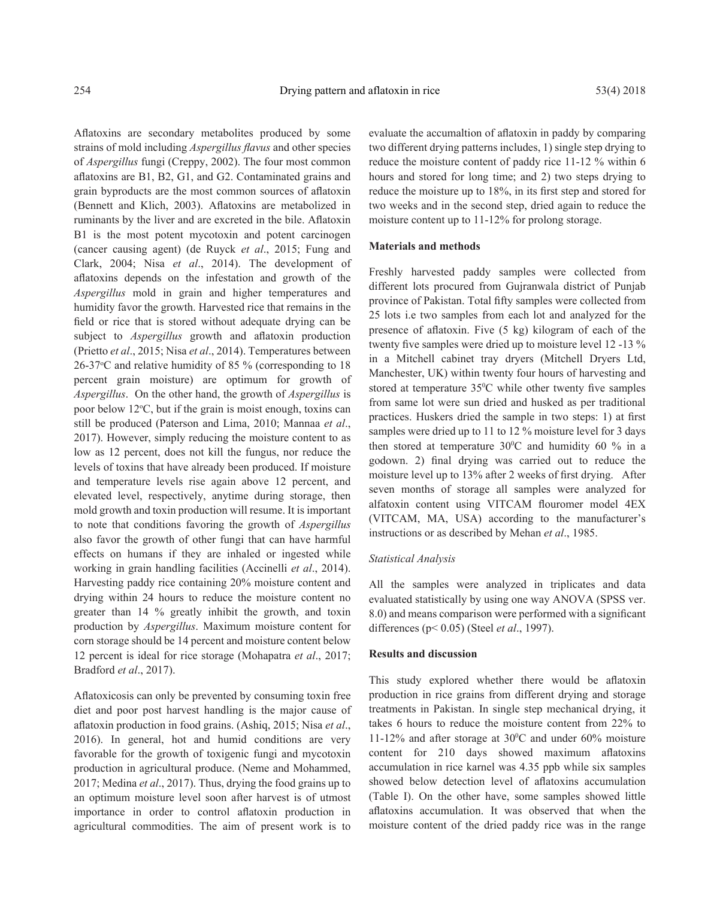Aflatoxins are secondary metabolites produced by some strains of mold including *Aspergillus flavus* and other species of *Aspergillus* fungi (Creppy, 2002). The four most common aflatoxins are B1, B2, G1, and G2. Contaminated grains and grain byproducts are the most common sources of aflatoxin (Bennett and Klich, 2003). Aflatoxins are metabolized in ruminants by the liver and are excreted in the bile. Aflatoxin B1 is the most potent mycotoxin and potent carcinogen (cancer causing agent) (de Ruyck *et al*., 2015; Fung and Clark, 2004; Nisa *et al*., 2014). The development of aflatoxins depends on the infestation and growth of the *Aspergillus* mold in grain and higher temperatures and humidity favor the growth. Harvested rice that remains in the field or rice that is stored without adequate drying can be subject to *Aspergillus* growth and aflatoxin production (Prietto *et al*., 2015; Nisa *et al*., 2014). Temperatures between 26-37°C and relative humidity of 85 % (corresponding to 18 percent grain moisture) are optimum for growth of *Aspergillus*. On the other hand, the growth of *Aspergillus* is poor below 12°C, but if the grain is moist enough, toxins can still be produced (Paterson and Lima, 2010; Mannaa *et al*., 2017). However, simply reducing the moisture content to as low as 12 percent, does not kill the fungus, nor reduce the levels of toxins that have already been produced. If moisture and temperature levels rise again above 12 percent, and elevated level, respectively, anytime during storage, then mold growth and toxin production will resume. It is important to note that conditions favoring the growth of *Aspergillus*  also favor the growth of other fungi that can have harmful effects on humans if they are inhaled or ingested while working in grain handling facilities (Accinelli *et al*., 2014). Harvesting paddy rice containing 20% moisture content and drying within 24 hours to reduce the moisture content no greater than 14 % greatly inhibit the growth, and toxin production by *Aspergillus*. Maximum moisture content for corn storage should be 14 percent and moisture content below 12 percent is ideal for rice storage (Mohapatra *et al*., 2017; Bradford *et al*., 2017).

Aflatoxicosis can only be prevented by consuming toxin free diet and poor post harvest handling is the major cause of aflatoxin production in food grains. (Ashiq, 2015; Nisa *et al*., 2016). In general, hot and humid conditions are very favorable for the growth of toxigenic fungi and mycotoxin production in agricultural produce. (Neme and Mohammed, 2017; Medina *et al*., 2017). Thus, drying the food grains up to an optimum moisture level soon after harvest is of utmost importance in order to control aflatoxin production in agricultural commodities. The aim of present work is to

evaluate the accumaltion of aflatoxin in paddy by comparing two different drying patterns includes, 1) single step drying to reduce the moisture content of paddy rice 11-12 % within 6 hours and stored for long time; and 2) two steps drying to reduce the moisture up to 18%, in its first step and stored for two weeks and in the second step, dried again to reduce the moisture content up to 11-12% for prolong storage.

## **Materials and methods**

Freshly harvested paddy samples were collected from different lots procured from Gujranwala district of Punjab province of Pakistan. Total fifty samples were collected from 25 lots i.e two samples from each lot and analyzed for the presence of aflatoxin. Five (5 kg) kilogram of each of the twenty five samples were dried up to moisture level 12 -13 % in a Mitchell cabinet tray dryers (Mitchell Dryers Ltd, Manchester, UK) within twenty four hours of harvesting and stored at temperature  $35^{\circ}$ C while other twenty five samples from same lot were sun dried and husked as per traditional practices. Huskers dried the sample in two steps: 1) at first samples were dried up to 11 to 12 % moisture level for 3 days then stored at temperature  $30^{\circ}$ C and humidity 60 % in a godown. 2) final drying was carried out to reduce the moisture level up to 13% after 2 weeks of first drying. After seven months of storage all samples were analyzed for alfatoxin content using VITCAM flouromer model 4EX (VITCAM, MA, USA) according to the manufacturer's instructions or as described by Mehan *et al*., 1985.

## *Statistical Analysis*

All the samples were analyzed in triplicates and data evaluated statistically by using one way ANOVA (SPSS ver. 8.0) and means comparison were performed with a significant differences (p< 0.05) (Steel *et al*., 1997).

#### **Results and discussion**

This study explored whether there would be aflatoxin production in rice grains from different drying and storage treatments in Pakistan. In single step mechanical drying, it takes 6 hours to reduce the moisture content from 22% to 11-12% and after storage at  $30^{\circ}$ C and under 60% moisture content for 210 days showed maximum aflatoxins accumulation in rice karnel was 4.35 ppb while six samples showed below detection level of aflatoxins accumulation (Table I). On the other have, some samples showed little aflatoxins accumulation. It was observed that when the moisture content of the dried paddy rice was in the range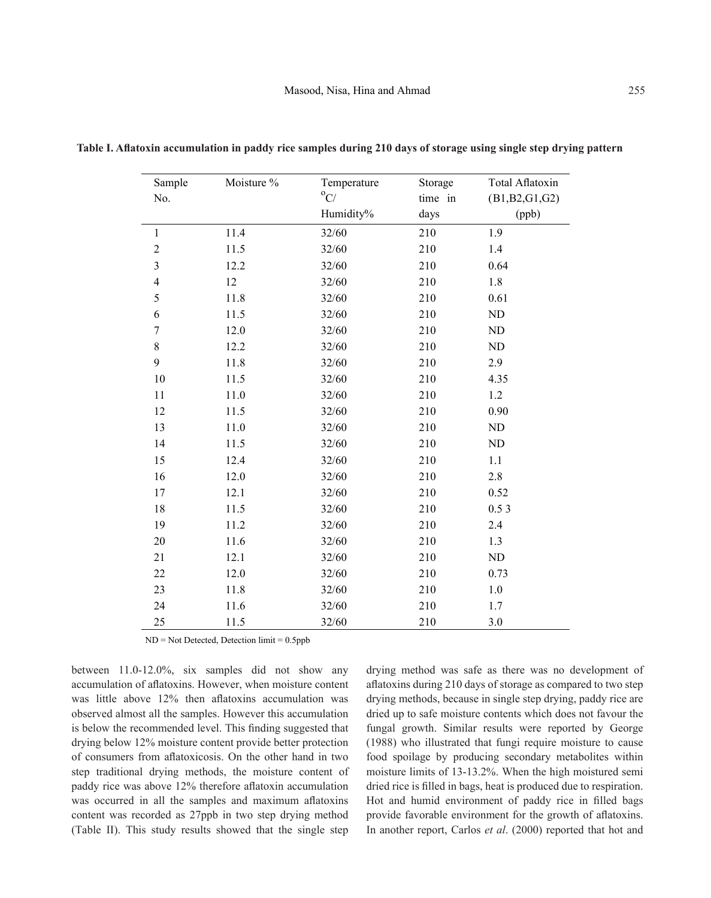| Sample         | Moisture % | Temperature   | Storage | <b>Total Aflatoxin</b> |
|----------------|------------|---------------|---------|------------------------|
| No.            |            | $^{\circ}$ C/ | time in | (B1,B2,G1,G2)          |
|                |            | Humidity%     | days    | (ppb)                  |
| $\,1$          | 11.4       | 32/60         | 210     | 1.9                    |
| $\overline{2}$ | 11.5       | 32/60         | 210     | 1.4                    |
| $\mathfrak{Z}$ | 12.2       | 32/60         | 210     | 0.64                   |
| $\overline{4}$ | 12         | 32/60         | 210     | 1.8                    |
| 5              | 11.8       | 32/60         | 210     | 0.61                   |
| 6              | 11.5       | 32/60         | 210     | ND                     |
| $\overline{7}$ | 12.0       | 32/60         | 210     | ND                     |
| 8              | 12.2       | 32/60         | 210     | ND                     |
| 9              | 11.8       | 32/60         | 210     | 2.9                    |
| 10             | 11.5       | 32/60         | 210     | 4.35                   |
| 11             | 11.0       | 32/60         | 210     | 1.2                    |
| 12             | 11.5       | 32/60         | 210     | 0.90                   |
| 13             | $11.0$     | 32/60         | 210     | $\rm ND$               |
| 14             | 11.5       | 32/60         | 210     | ND                     |
| 15             | 12.4       | 32/60         | 210     | 1.1                    |
| 16             | 12.0       | 32/60         | 210     | $2.8\,$                |
| 17             | 12.1       | 32/60         | 210     | 0.52                   |
| 18             | 11.5       | 32/60         | 210     | 0.53                   |
| 19             | 11.2       | 32/60         | 210     | 2.4                    |
| 20             | 11.6       | 32/60         | 210     | 1.3                    |
| 21             | 12.1       | 32/60         | 210     | ND                     |
| 22             | 12.0       | 32/60         | 210     | 0.73                   |
| 23             | 11.8       | 32/60         | 210     | $1.0\,$                |
| 24             | 11.6       | 32/60         | 210     | 1.7                    |
| 25             | 11.5       | 32/60         | 210     | 3.0                    |

**Table I. Aflatoxin accumulation in paddy rice samples during 210 days of storage using single step drying pattern**

ND = Not Detected, Detection limit = 0.5ppb

between 11.0-12.0%, six samples did not show any accumulation of aflatoxins. However, when moisture content was little above 12% then aflatoxins accumulation was observed almost all the samples. However this accumulation is below the recommended level. This finding suggested that drying below 12% moisture content provide better protection of consumers from aflatoxicosis. On the other hand in two step traditional drying methods, the moisture content of paddy rice was above 12% therefore aflatoxin accumulation was occurred in all the samples and maximum aflatoxins content was recorded as 27ppb in two step drying method (Table II). This study results showed that the single step

drying method was safe as there was no development of aflatoxins during 210 days of storage as compared to two step drying methods, because in single step drying, paddy rice are dried up to safe moisture contents which does not favour the fungal growth. Similar results were reported by George (1988) who illustrated that fungi require moisture to cause food spoilage by producing secondary metabolites within moisture limits of 13-13.2%. When the high moistured semi dried rice is filled in bags, heat is produced due to respiration. Hot and humid environment of paddy rice in filled bags provide favorable environment for the growth of aflatoxins. In another report, Carlos *et al*. (2000) reported that hot and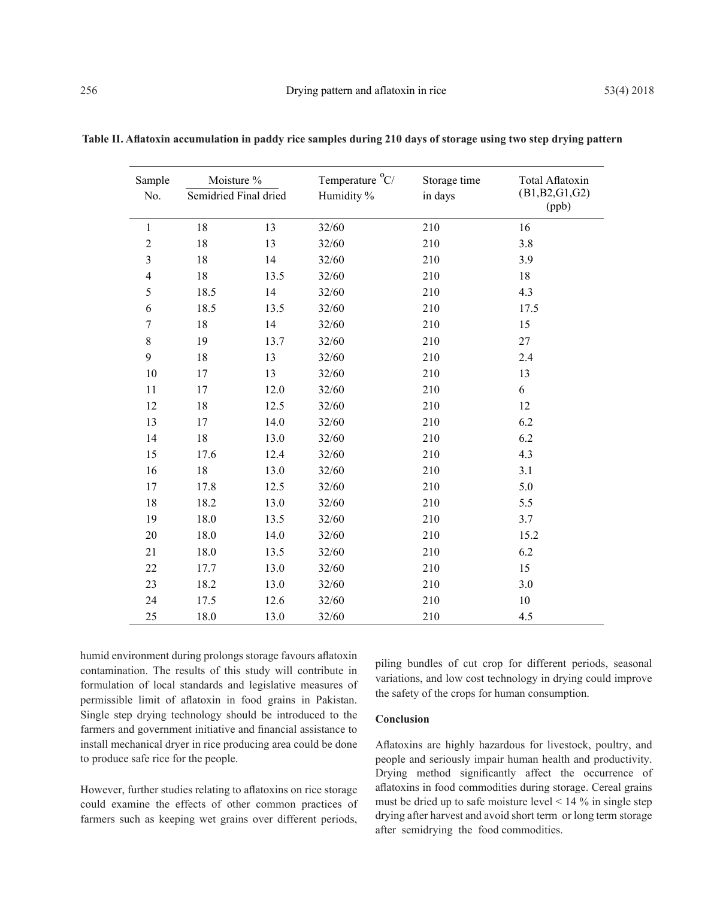| Sample         | Moisture %<br>Semidried Final dried |      | Temperature <sup>o</sup> C/ | Storage time | Total Aflatoxin<br>(B1,B2,G1,G2)<br>(ppb) |
|----------------|-------------------------------------|------|-----------------------------|--------------|-------------------------------------------|
| No.            |                                     |      | Humidity %                  | in days      |                                           |
| $\mathbf 1$    | 18                                  | 13   | 32/60                       | 210          | 16                                        |
| $\overline{2}$ | 18                                  | 13   | 32/60                       | 210          | 3.8                                       |
| $\mathfrak{Z}$ | 18                                  | 14   | 32/60                       | 210          | 3.9                                       |
| $\overline{4}$ | 18                                  | 13.5 | 32/60                       | 210          | 18                                        |
| 5              | 18.5                                | 14   | 32/60                       | 210          | 4.3                                       |
| 6              | 18.5                                | 13.5 | 32/60                       | 210          | 17.5                                      |
| $\tau$         | 18                                  | 14   | 32/60                       | 210          | 15                                        |
| 8              | 19                                  | 13.7 | 32/60                       | 210          | 27                                        |
| 9              | 18                                  | 13   | 32/60                       | 210          | 2.4                                       |
| 10             | 17                                  | 13   | 32/60                       | 210          | 13                                        |
| 11             | 17                                  | 12.0 | 32/60                       | 210          | 6                                         |
| 12             | 18                                  | 12.5 | 32/60                       | 210          | 12                                        |
| 13             | 17                                  | 14.0 | 32/60                       | 210          | 6.2                                       |
| 14             | 18                                  | 13.0 | 32/60                       | 210          | 6.2                                       |
| 15             | 17.6                                | 12.4 | 32/60                       | 210          | 4.3                                       |
| 16             | $18\,$                              | 13.0 | 32/60                       | 210          | 3.1                                       |
| 17             | 17.8                                | 12.5 | 32/60                       | 210          | 5.0                                       |
| 18             | 18.2                                | 13.0 | 32/60                       | 210          | 5.5                                       |
| 19             | 18.0                                | 13.5 | 32/60                       | 210          | 3.7                                       |
| 20             | 18.0                                | 14.0 | 32/60                       | 210          | 15.2                                      |
| 21             | 18.0                                | 13.5 | 32/60                       | 210          | 6.2                                       |
| 22             | 17.7                                | 13.0 | 32/60                       | 210          | 15                                        |
| 23             | 18.2                                | 13.0 | 32/60                       | 210          | 3.0                                       |
| 24             | 17.5                                | 12.6 | 32/60                       | 210          | 10                                        |
| 25             | 18.0                                | 13.0 | 32/60                       | 210          | 4.5                                       |

**Table II. Aflatoxin accumulation in paddy rice samples during 210 days of storage using two step drying pattern**

humid environment during prolongs storage favours aflatoxin contamination. The results of this study will contribute in formulation of local standards and legislative measures of permissible limit of aflatoxin in food grains in Pakistan. Single step drying technology should be introduced to the farmers and government initiative and financial assistance to install mechanical dryer in rice producing area could be done to produce safe rice for the people.

However, further studies relating to aflatoxins on rice storage could examine the effects of other common practices of farmers such as keeping wet grains over different periods, piling bundles of cut crop for different periods, seasonal variations, and low cost technology in drying could improve the safety of the crops for human consumption.

## **Conclusion**

Aflatoxins are highly hazardous for livestock, poultry, and people and seriously impair human health and productivity. Drying method significantly affect the occurrence of aflatoxins in food commodities during storage. Cereal grains must be dried up to safe moisture level  $\leq 14$  % in single step drying after harvest and avoid short term or long term storage after semidrying the food commodities.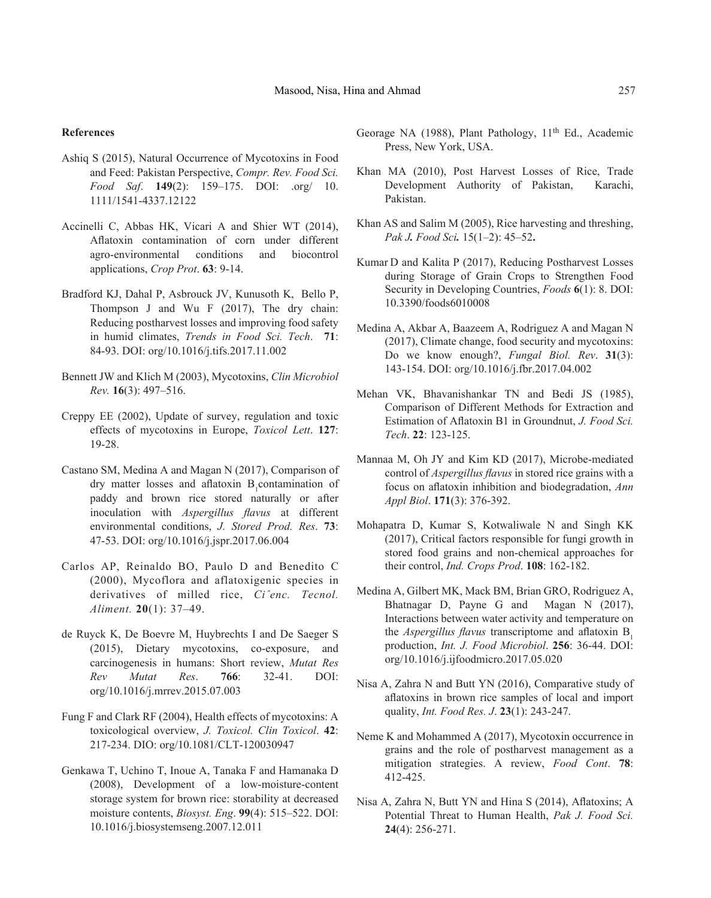## **References**

- Ashiq S (2015), Natural Occurrence of Mycotoxins in Food and Feed: Pakistan Perspective, *Compr. Rev. Food Sci. Food Saf*. **149**(2): 159–175. DOI: .org/ 10. 1111/1541-4337.12122
- Accinelli C, Abbas HK, Vicari A and Shier WT (2014), Aflatoxin contamination of corn under different agro-environmental conditions and biocontrol applications, *Crop Prot*. **63**: 9-14.
- Bradford KJ, Dahal P, Asbrouck JV, Kunusoth K, Bello P, Thompson J and Wu F (2017), The dry chain: Reducing postharvest losses and improving food safety in humid climates, *Trends in Food Sci. Tech*. **71**: 84-93. DOI: org/10.1016/j.tifs.2017.11.002
- Bennett JW and Klich M (2003), Mycotoxins, *Clin Microbiol Rev.* **16**(3): 497–516.
- Creppy EE (2002), Update of survey, regulation and toxic effects of mycotoxins in Europe, *Toxicol Lett*. **127**: 19-28.
- Castano SM, Medina A and Magan N (2017), Comparison of dry matter losses and aflatoxin  $B_1$ contamination of paddy and brown rice stored naturally or after inoculation with *Aspergillus flavus* at different environmental conditions, *J. Stored Prod. Res*. **73**: 47-53. DOI: org/10.1016/j.jspr.2017.06.004
- Carlos AP, Reinaldo BO, Paulo D and Benedito C (2000), Mycoflora and aflatoxigenic species in derivatives of milled rice, *Ciˆenc. Tecnol. Aliment.* **20**(1): 37–49.
- de Ruyck K, De Boevre M, Huybrechts I and De Saeger S (2015), Dietary mycotoxins, co-exposure, and carcinogenesis in humans: Short review, *Mutat Res Rev Mutat Res*. **766**: 32-41. DOI: org/10.1016/j.mrrev.2015.07.003
- Fung F and Clark RF (2004), Health effects of mycotoxins: A toxicological overview, *J. Toxicol. Clin Toxicol*. **42**: 217-234. DIO: org/10.1081/CLT-120030947
- Genkawa T, Uchino T, Inoue A, Tanaka F and Hamanaka D (2008), Development of a low-moisture-content storage system for brown rice: storability at decreased moisture contents, *Biosyst. Eng*. **99**(4): 515–522. DOI: 10.1016/j.biosystemseng.2007.12.011
- Georage NA (1988), Plant Pathology, 11<sup>th</sup> Ed., Academic Press, New York, USA.
- Khan MA (2010), Post Harvest Losses of Rice, Trade Development Authority of Pakistan, Karachi, Pakistan.
- Khan AS and Salim M (2005), Rice harvesting and threshing, *Pak J. Food Sci.* 15(1–2): 45–52**.**
- Kumar D and Kalita P (2017), Reducing Postharvest Losses during Storage of Grain Crops to Strengthen Food Security in Developing Countries, *Foods* **6**(1): 8. DOI: 10.3390/foods6010008
- Medina A, Akbar A, Baazeem A, Rodriguez A and Magan N (2017), Climate change, food security and mycotoxins: Do we know enough?, *Fungal Biol. Rev*. **31**(3): 143-154. DOI: org/10.1016/j.fbr.2017.04.002
- Mehan VK, Bhavanishankar TN and Bedi JS (1985), Comparison of Different Methods for Extraction and Estimation of Aflatoxin B1 in Groundnut, *J. Food Sci. Tech*. **22**: 123-125.
- Mannaa M, Oh JY and Kim KD (2017), Microbe-mediated control of *Aspergillus flavus* in stored rice grains with a focus on aflatoxin inhibition and biodegradation, *Ann Appl Biol*. **171**(3): 376-392.
- Mohapatra D, Kumar S, Kotwaliwale N and Singh KK (2017), Critical factors responsible for fungi growth in stored food grains and non-chemical approaches for their control, *Ind. Crops Prod*. **108**: 162-182.
- Medina A, Gilbert MK, Mack BM, Brian GRO, Rodriguez A, Bhatnagar D, Payne G and Magan N (2017), Interactions between water activity and temperature on the *Aspergillus flavus* transcriptome and aflatoxin B. production, *Int. J. Food Microbiol*. **256**: 36-44. DOI: org/10.1016/j.ijfoodmicro.2017.05.020
- Nisa A, Zahra N and Butt YN (2016), Comparative study of aflatoxins in brown rice samples of local and import quality, *Int. Food Res. J*. **23**(1): 243-247.
- Neme K and Mohammed A (2017), Mycotoxin occurrence in grains and the role of postharvest management as a mitigation strategies. A review, *Food Cont*. **78**: 412-425.
- Nisa A, Zahra N, Butt YN and Hina S (2014), Aflatoxins; A Potential Threat to Human Health, *Pak J. Food Sci.* **24**(4): 256-271.